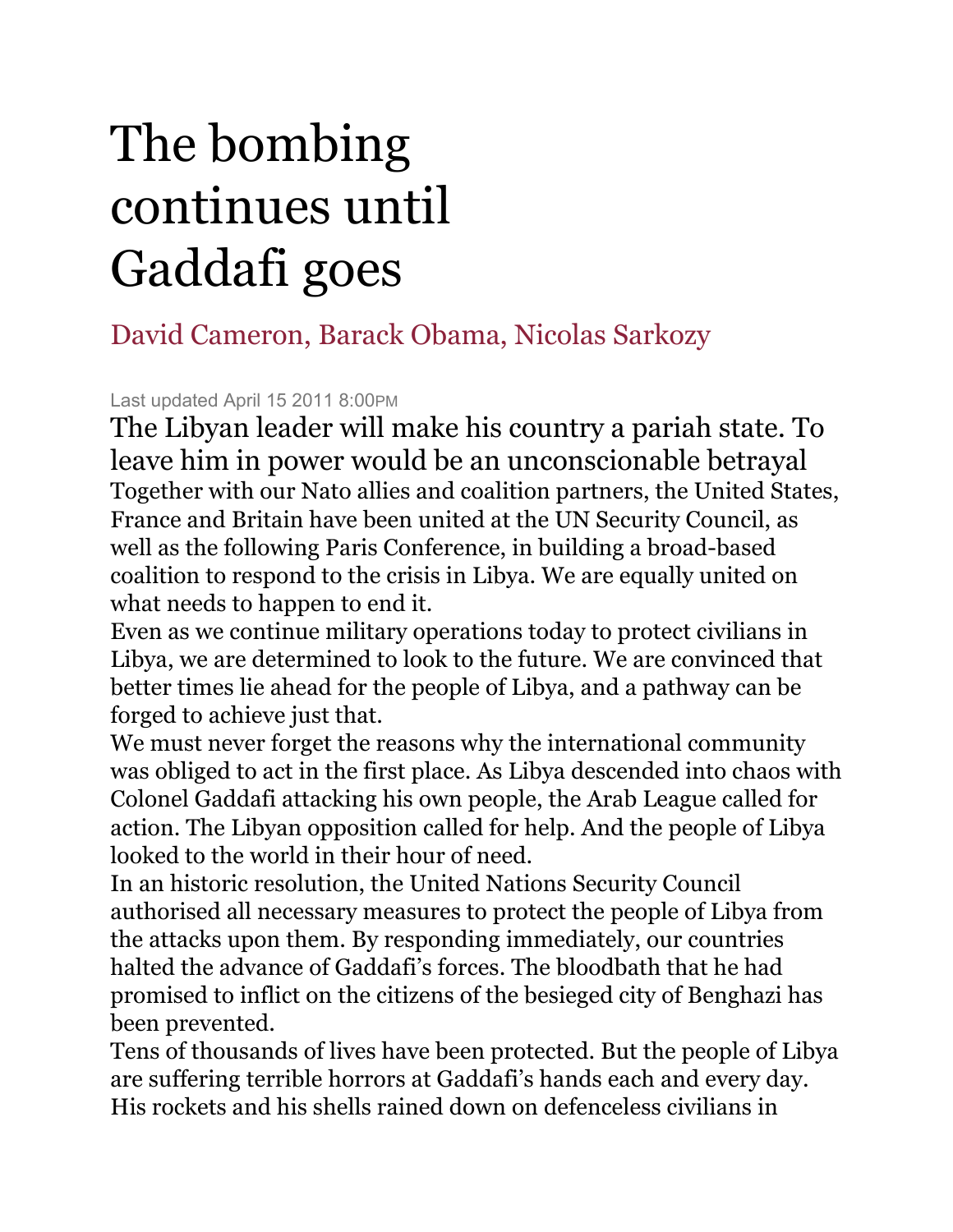## The bombing continues until Gaddafi goes

David Cameron, Barack Obama, Nicolas Sarkozy

Last updated April 15 2011 8:00PM

The Libyan leader will make his country a pariah state. To leave him in power would be an unconscionable betrayal Together with our Nato allies and coalition partners, the United States, France and Britain have been united at the UN Security Council, as well as the following Paris Conference, in building a broad-based coalition to respond to the crisis in Libya. We are equally united on what needs to happen to end it.

Even as we continue military operations today to protect civilians in Libya, we are determined to look to the future. We are convinced that better times lie ahead for the people of Libya, and a pathway can be forged to achieve just that.

We must never forget the reasons why the international community was obliged to act in the first place. As Libya descended into chaos with Colonel Gaddafi attacking his own people, the Arab League called for action. The Libyan opposition called for help. And the people of Libya looked to the world in their hour of need.

In an historic resolution, the United Nations Security Council authorised all necessary measures to protect the people of Libya from the attacks upon them. By responding immediately, our countries halted the advance of Gaddafi's forces. The bloodbath that he had promised to inflict on the citizens of the besieged city of Benghazi has been prevented.

Tens of thousands of lives have been protected. But the people of Libya are suffering terrible horrors at Gaddafi's hands each and every day. His rockets and his shells rained down on defenceless civilians in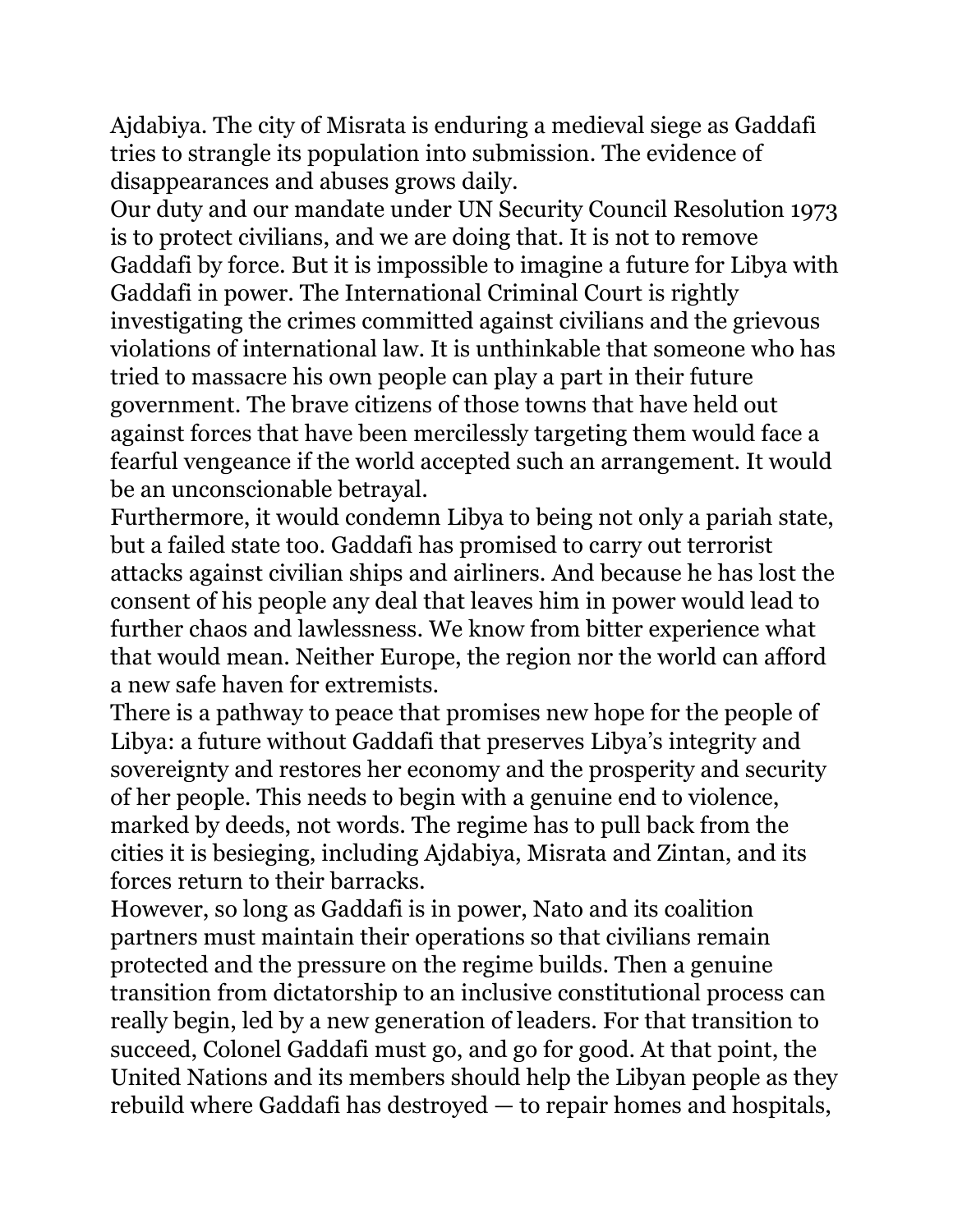Ajdabiya. The city of Misrata is enduring a medieval siege as Gaddafi tries to strangle its population into submission. The evidence of disappearances and abuses grows daily.

Our duty and our mandate under UN Security Council Resolution 1973 is to protect civilians, and we are doing that. It is not to remove Gaddafi by force. But it is impossible to imagine a future for Libya with Gaddafi in power. The International Criminal Court is rightly investigating the crimes committed against civilians and the grievous violations of international law. It is unthinkable that someone who has tried to massacre his own people can play a part in their future government. The brave citizens of those towns that have held out against forces that have been mercilessly targeting them would face a fearful vengeance if the world accepted such an arrangement. It would be an unconscionable betrayal.

Furthermore, it would condemn Libya to being not only a pariah state, but a failed state too. Gaddafi has promised to carry out terrorist attacks against civilian ships and airliners. And because he has lost the consent of his people any deal that leaves him in power would lead to further chaos and lawlessness. We know from bitter experience what that would mean. Neither Europe, the region nor the world can afford a new safe haven for extremists.

There is a pathway to peace that promises new hope for the people of Libya: a future without Gaddafi that preserves Libya's integrity and sovereignty and restores her economy and the prosperity and security of her people. This needs to begin with a genuine end to violence, marked by deeds, not words. The regime has to pull back from the cities it is besieging, including Ajdabiya, Misrata and Zintan, and its forces return to their barracks.

However, so long as Gaddafi is in power, Nato and its coalition partners must maintain their operations so that civilians remain protected and the pressure on the regime builds. Then a genuine transition from dictatorship to an inclusive constitutional process can really begin, led by a new generation of leaders. For that transition to succeed, Colonel Gaddafi must go, and go for good. At that point, the United Nations and its members should help the Libyan people as they rebuild where Gaddafi has destroyed — to repair homes and hospitals,